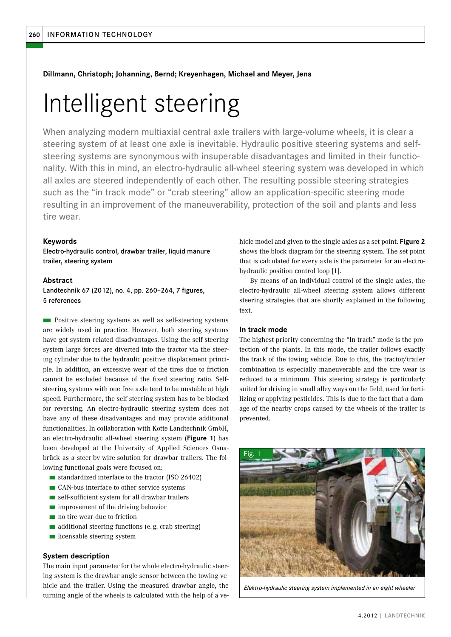**Dillmann, Christoph; Johanning, Bernd; Kreyenhagen, Michael and Meyer, Jens**

# Intelligent steering

When analyzing modern multiaxial central axle trailers with large-volume wheels, it is clear a steering system of at least one axle is inevitable. Hydraulic positive steering systems and selfsteering systems are synonymous with insuperable disadvantages and limited in their functionality. With this in mind, an electro-hydraulic all-wheel steering system was developed in which all axles are steered independently of each other. The resulting possible steering strategies such as the "in track mode" or "crab steering" allow an application-specific steering mode resulting in an improvement of the maneuverability, protection of the soil and plants and less tire wear.

## **Keywords**

Electro-hydraulic control, drawbar trailer, liquid manure trailer, steering system

## **Abstract**

Landtechnik 67 (2012), no. 4, pp. 260–264, 7 figures, 5 references

n Positive steering systems as well as self-steering systems are widely used in practice. However, both steering systems have got system related disadvantages. Using the self-steering system large forces are diverted into the tractor via the steering cylinder due to the hydraulic positive displacement principle. In addition, an excessive wear of the tires due to friction cannot be excluded because of the fixed steering ratio. Selfsteering systems with one free axle tend to be unstable at high speed. Furthermore, the self-steering system has to be blocked for reversing. An electro-hydraulic steering system does not have any of these disadvantages and may provide additional functionalities. In collaboration with Kotte Landtechnik GmbH, an electro-hydraulic all-wheel steering system (**Figure 1**) has been developed at the University of Applied Sciences Osnabrück as a steer-by-wire-solution for drawbar trailers. The following functional goals were focused on:

- standardized interface to the tractor (ISO 26402)
- CAN-bus interface to other service systems
- self-sufficient system for all drawbar trailers
- improvement of the driving behavior
- no tire wear due to friction
- additional steering functions (e.g. crab steering)
- licensable steering system

## **System description**

The main input parameter for the whole electro-hydraulic steering system is the drawbar angle sensor between the towing vehicle and the trailer. Using the measured drawbar angle, the turning angle of the wheels is calculated with the help of a vehicle model and given to the single axles as a set point. **Figure 2**  shows the block diagram for the steering system. The set point that is calculated for every axle is the parameter for an electrohydraulic position control loop [1].

By means of an individual control of the single axles, the electro-hydraulic all-wheel steering system allows different steering strategies that are shortly explained in the following text.

## **In track mode**

The highest priority concerning the "In track" mode is the protection of the plants. In this mode, the trailer follows exactly the track of the towing vehicle. Due to this, the tractor/trailer combination is especially maneuverable and the tire wear is reduced to a minimum. This steering strategy is particularly suited for driving in small alley ways on the field, used for fertilizing or applying pesticides. This is due to the fact that a damage of the nearby crops caused by the wheels of the trailer is prevented.



*Elektro-hydraulic steering system implemented in an eight wheeler*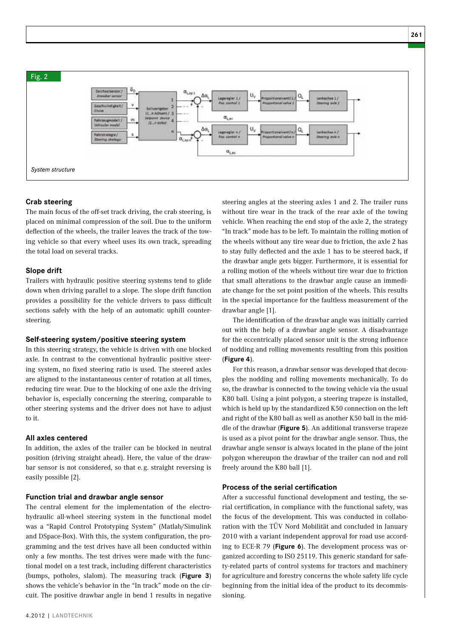

## **Crab steering**

The main focus of the off-set track driving, the crab steering, is placed on minimal compression of the soil. Due to the uniform deflection of the wheels, the trailer leaves the track of the towing vehicle so that every wheel uses its own track, spreading the total load on several tracks.

## **Slope drift**

Trailers with hydraulic positive steering systems tend to glide down when driving parallel to a slope. The slope drift function provides a possibility for the vehicle drivers to pass difficult sections safely with the help of an automatic uphill countersteering.

## **Self-steering system/positive steering system**

In this steering strategy, the vehicle is driven with one blocked axle. In contrast to the conventional hydraulic positive steering system, no fixed steering ratio is used. The steered axles are aligned to the instantaneous center of rotation at all times, reducing tire wear. Due to the blocking of one axle the driving behavior is, especially concerning the steering, comparable to other steering systems and the driver does not have to adjust to it.

## **All axles centered**

In addition, the axles of the trailer can be blocked in neutral position (driving straight ahead). Here, the value of the drawbar sensor is not considered, so that e. g. straight reversing is easily possible [2].

#### **Function trial and drawbar angle sensor**

The central element for the implementation of the electrohydraulic all-wheel steering system in the functional model was a "Rapid Control Prototyping System" (Matlab/Simulink and DSpace-Box). With this, the system configuration, the programming and the test drives have all been conducted within only a few months. The test drives were made with the functional model on a test track, including different characteristics (bumps, potholes, slalom). The measuring track (**Figure 3**) shows the vehicle's behavior in the "In track" mode on the circuit. The positive drawbar angle in bend 1 results in negative steering angles at the steering axles 1 and 2. The trailer runs without tire wear in the track of the rear axle of the towing vehicle. When reaching the end stop of the axle 2, the strategy "In track" mode has to be left. To maintain the rolling motion of the wheels without any tire wear due to friction, the axle 2 has to stay fully deflected and the axle 1 has to be steered back, if the drawbar angle gets bigger. Furthermore, it is essential for a rolling motion of the wheels without tire wear due to friction that small alterations to the drawbar angle cause an immediate change for the set point position of the wheels. This results in the special importance for the faultless measurement of the drawbar angle [1].

The identification of the drawbar angle was initially carried out with the help of a drawbar angle sensor. A disadvantage for the eccentrically placed sensor unit is the strong influence of nodding and rolling movements resulting from this position (**Figure 4**).

For this reason, a drawbar sensor was developed that decouples the nodding and rolling movements mechanically. To do so, the drawbar is connected to the towing vehicle via the usual K80 ball. Using a joint polygon, a steering trapeze is installed, which is held up by the standardized K50 connection on the left and right of the K80 ball as well as another K50 ball in the middle of the drawbar (**Figure 5**). An additional transverse trapeze is used as a pivot point for the drawbar angle sensor. Thus, the drawbar angle sensor is always located in the plane of the joint polygon whereupon the drawbar of the trailer can nod and roll freely around the K80 ball [1].

## **Process of the serial certification**

After a successful functional development and testing, the serial certification, in compliance with the functional safety, was the focus of the development. This was conducted in collaboration with the TÜV Nord Mobilität and concluded in January 2010 with a variant independent approval for road use according to ECE-R 79 (**Figure 6**). The development process was organized according to ISO 25119. This generic standard for safety-related parts of control systems for tractors and machinery for agriculture and forestry concerns the whole safety life cycle beginning from the initial idea of the product to its decommissioning.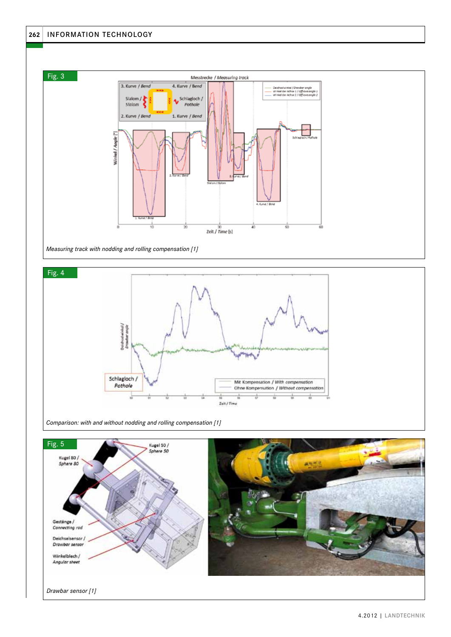





*Comparison: with and without nodding and rolling compensation [1]* 

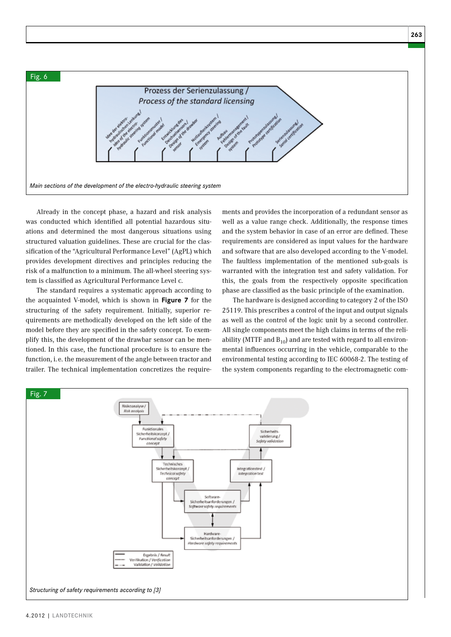

Already in the concept phase, a hazard and risk analysis was conducted which identified all potential hazardous situations and determined the most dangerous situations using structured valuation guidelines. These are crucial for the classification of the "Agricultural Performance Level" (AgPL) which provides development directives and principles reducing the risk of a malfunction to a minimum. The all-wheel steering system is classified as Agricultural Performance Level c.

The standard requires a systematic approach according to the acquainted V-model, which is shown in **Figure 7** for the structuring of the safety requirement. Initially, superior requirements are methodically developed on the left side of the model before they are specified in the safety concept. To exemplify this, the development of the drawbar sensor can be mentioned. In this case, the functional procedure is to ensure the function, i. e. the measurement of the angle between tractor and trailer. The technical implementation concretizes the require-

ments and provides the incorporation of a redundant sensor as well as a value range check. Additionally, the response times and the system behavior in case of an error are defined. These requirements are considered as input values for the hardware and software that are also developed according to the V-model. The faultless implementation of the mentioned sub-goals is warranted with the integration test and safety validation. For this, the goals from the respectively opposite specification phase are classified as the basic principle of the examination.

The hardware is designed according to category 2 of the ISO 25119. This prescribes a control of the input and output signals as well as the control of the logic unit by a second controller. All single components meet the high claims in terms of the reliability (MTTF and  $B_{10}$ ) and are tested with regard to all environmental influences occurring in the vehicle, comparable to the environmental testing according to IEC 60068-2. The testing of the system components regarding to the electromagnetic com-